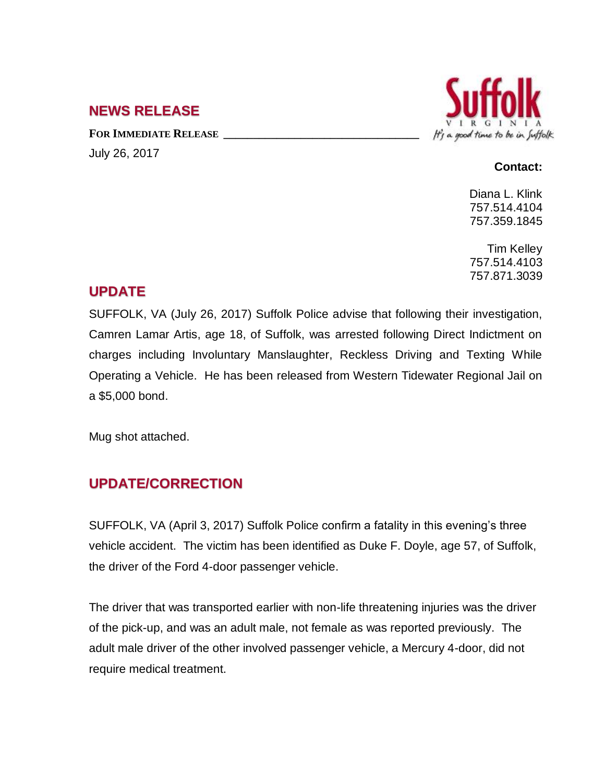## **NEWS RELEASE**

**FOR IMMEDIATE RELEASE \_\_\_\_\_\_\_\_\_\_\_\_\_\_\_\_\_\_\_\_\_\_\_\_\_\_\_\_\_\_\_\_\_** July 26, 2017



#### **Contact:**

Diana L. Klink 757.514.4104 757.359.1845

Tim Kelley 757.514.4103 757.871.3039

## **UPDATE**

SUFFOLK, VA (July 26, 2017) Suffolk Police advise that following their investigation, Camren Lamar Artis, age 18, of Suffolk, was arrested following Direct Indictment on charges including Involuntary Manslaughter, Reckless Driving and Texting While Operating a Vehicle. He has been released from Western Tidewater Regional Jail on a \$5,000 bond.

Mug shot attached.

# **UPDATE/CORRECTION**

SUFFOLK, VA (April 3, 2017) Suffolk Police confirm a fatality in this evening's three vehicle accident. The victim has been identified as Duke F. Doyle, age 57, of Suffolk, the driver of the Ford 4-door passenger vehicle.

The driver that was transported earlier with non-life threatening injuries was the driver of the pick-up, and was an adult male, not female as was reported previously. The adult male driver of the other involved passenger vehicle, a Mercury 4-door, did not require medical treatment.